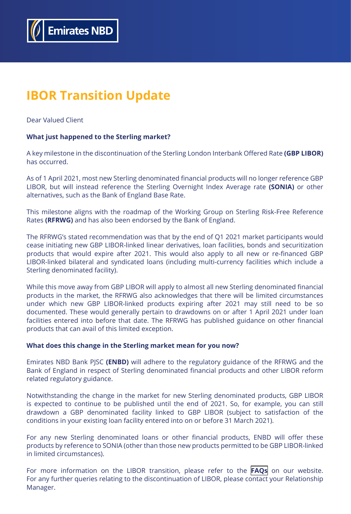

# **IBOR Transition Update**

Dear Valued Client

## **What just happened to the Sterling market?**

A key milestone in the discontinuation of the Sterling London Interbank Offered Rate **(GBP LIBOR)** has occurred.

As of 1 April 2021, most new Sterling denominated financial products will no longer reference GBP LIBOR, but will instead reference the Sterling Overnight Index Average rate **(SONIA)** or other alternatives, such as the Bank of England Base Rate.

This milestone aligns with the roadmap of the Working Group on Sterling Risk-Free Reference Rates **(RFRWG)** and has also been endorsed by the Bank of England.

The RFRWG's stated recommendation was that by the end of Q1 2021 market participants would cease initiating new GBP LIBOR-linked linear derivatives, loan facilities, bonds and securitization products that would expire after 2021. This would also apply to all new or re-financed GBP LIBOR-linked bilateral and syndicated loans (including multi-currency facilities which include a Sterling denominated facility).

While this move away from GBP LIBOR will apply to almost all new Sterling denominated financial products in the market, the RFRWG also acknowledges that there will be limited circumstances under which new GBP LIBOR-linked products expiring after 2021 may still need to be so documented. These would generally pertain to drawdowns on or after 1 April 2021 under loan facilities entered into before that date. The RFRWG has published guidance on other financial products that can avail of this limited exception.

#### **What does this change in the Sterling market mean for you now?**

Emirates NBD Bank PJSC **(ENBD)** will adhere to the regulatory guidance of the RFRWG and the Bank of England in respect of Sterling denominated financial products and other LIBOR reform related regulatory guidance.

Notwithstanding the change in the market for new Sterling denominated products, GBP LIBOR is expected to continue to be published until the end of 2021. So, for example, you can still drawdown a GBP denominated facility linked to GBP LIBOR (subject to satisfaction of the conditions in your existing loan facility entered into on or before 31 March 2021).

For any new Sterling denominated loans or other financial products, ENBD will offer these products by reference to SONIA (other than those new products permitted to be GBP LIBOR-linked in limited circumstances).

For more information on the LIBOR transition, please refer to the **[FAQs](https://www.emiratesnbd.com/en/assets/File/LIBOR_Discontinuation_FAQs.pdf)** on our website. For any further queries relating to the discontinuation of LIBOR, please contact your Relationship Manager.